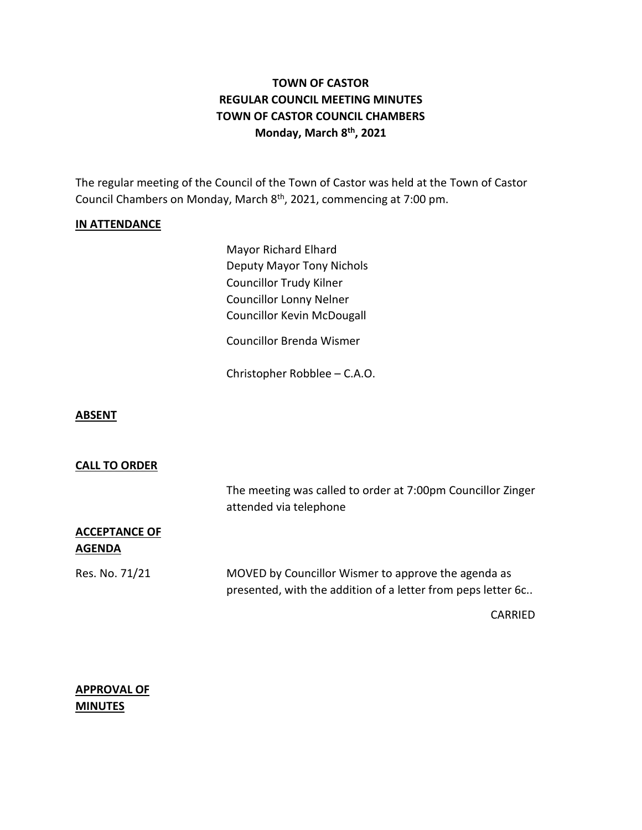# **TOWN OF CASTOR REGULAR COUNCIL MEETING MINUTES TOWN OF CASTOR COUNCIL CHAMBERS Monday, March 8 th , 2021**

The regular meeting of the Council of the Town of Castor was held at the Town of Castor Council Chambers on Monday, March 8<sup>th</sup>, 2021, commencing at 7:00 pm.

### **IN ATTENDANCE**

Mayor Richard Elhard Deputy Mayor Tony Nichols Councillor Trudy Kilner Councillor Lonny Nelner Councillor Kevin McDougall

Councillor Brenda Wismer

Christopher Robblee – C.A.O.

### **ABSENT**

#### **CALL TO ORDER**

|                                       | The meeting was called to order at 7:00pm Councillor Zinger<br>attended via telephone                               |  |
|---------------------------------------|---------------------------------------------------------------------------------------------------------------------|--|
| <b>ACCEPTANCE OF</b><br><b>AGENDA</b> |                                                                                                                     |  |
| Res. No. 71/21                        | MOVED by Councillor Wismer to approve the agenda as<br>presented, with the addition of a letter from peps letter 6c |  |
|                                       | CARRIED                                                                                                             |  |

**APPROVAL OF MINUTES**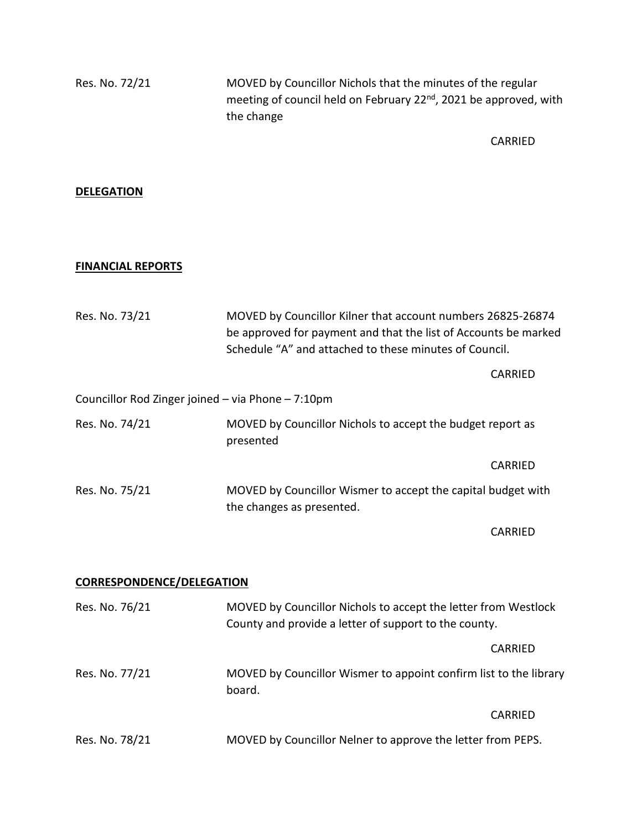Res. No. 72/21 MOVED by Councillor Nichols that the minutes of the regular meeting of council held on February 22<sup>nd</sup>, 2021 be approved, with the change

CARRIED

## **DELEGATION**

## **FINANCIAL REPORTS**

| Res. No. 73/21                                    | MOVED by Councillor Kilner that account numbers 26825-26874<br>be approved for payment and that the list of Accounts be marked<br>Schedule "A" and attached to these minutes of Council. |                                                            |  |
|---------------------------------------------------|------------------------------------------------------------------------------------------------------------------------------------------------------------------------------------------|------------------------------------------------------------|--|
|                                                   |                                                                                                                                                                                          | CARRIED                                                    |  |
| Councillor Rod Zinger joined - via Phone - 7:10pm |                                                                                                                                                                                          |                                                            |  |
| Res. No. 74/21                                    | presented                                                                                                                                                                                | MOVED by Councillor Nichols to accept the budget report as |  |
|                                                   |                                                                                                                                                                                          | CARRIED                                                    |  |
| Res. No. 75/21                                    | MOVED by Councillor Wismer to accept the capital budget with<br>the changes as presented.                                                                                                |                                                            |  |
|                                                   |                                                                                                                                                                                          | CARRIED                                                    |  |
| <b>CORRESPONDENCE/DELEGATION</b>                  |                                                                                                                                                                                          |                                                            |  |
| Res. No. 76/21                                    | MOVED by Councillor Nichols to accept the letter from Westlock<br>County and provide a letter of support to the county.                                                                  |                                                            |  |
|                                                   |                                                                                                                                                                                          | CARRIED                                                    |  |
| Res. No. 77/21                                    | MOVED by Councillor Wismer to appoint confirm list to the library<br>board.                                                                                                              |                                                            |  |
|                                                   |                                                                                                                                                                                          | CARRIED                                                    |  |
| Res. No. 78/21                                    | MOVED by Councillor Nelner to approve the letter from PEPS.                                                                                                                              |                                                            |  |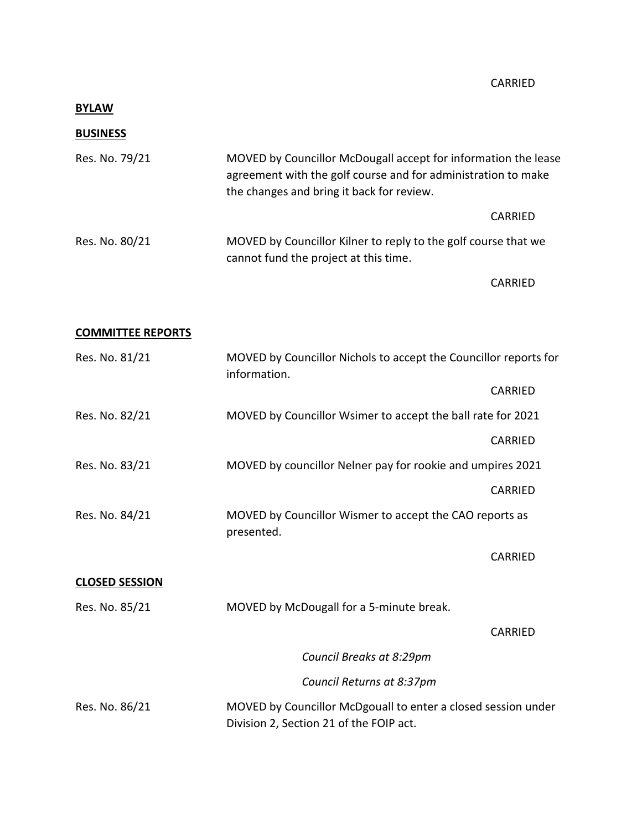## **BYLAW**

## **BUSINESS**

| Res. No. 79/21 | MOVED by Councillor McDougall accept for information the lease<br>agreement with the golf course and for administration to make<br>the changes and bring it back for review. |         |  |
|----------------|------------------------------------------------------------------------------------------------------------------------------------------------------------------------------|---------|--|
|                |                                                                                                                                                                              | CARRIED |  |
| Res. No. 80/21 | MOVED by Councillor Kilner to reply to the golf course that we<br>cannot fund the project at this time.                                                                      |         |  |
|                |                                                                                                                                                                              | CARRIED |  |

## **COMMITTEE REPORTS**

| Res. No. 81/21        | MOVED by Councillor Nichols to accept the Councillor reports for<br>information.                         |                |
|-----------------------|----------------------------------------------------------------------------------------------------------|----------------|
|                       |                                                                                                          | CARRIED        |
| Res. No. 82/21        | MOVED by Councillor Wsimer to accept the ball rate for 2021                                              |                |
|                       |                                                                                                          | <b>CARRIED</b> |
| Res. No. 83/21        | MOVED by councillor Nelner pay for rookie and umpires 2021                                               |                |
|                       |                                                                                                          | <b>CARRIED</b> |
| Res. No. 84/21        | MOVED by Councillor Wismer to accept the CAO reports as<br>presented.                                    |                |
|                       |                                                                                                          | <b>CARRIED</b> |
| <b>CLOSED SESSION</b> |                                                                                                          |                |
| Res. No. 85/21        | MOVED by McDougall for a 5-minute break.                                                                 |                |
|                       |                                                                                                          | <b>CARRIED</b> |
|                       | Council Breaks at 8:29pm                                                                                 |                |
|                       | Council Returns at 8:37pm                                                                                |                |
| Res. No. 86/21        | MOVED by Councillor McDgouall to enter a closed session under<br>Division 2, Section 21 of the FOIP act. |                |